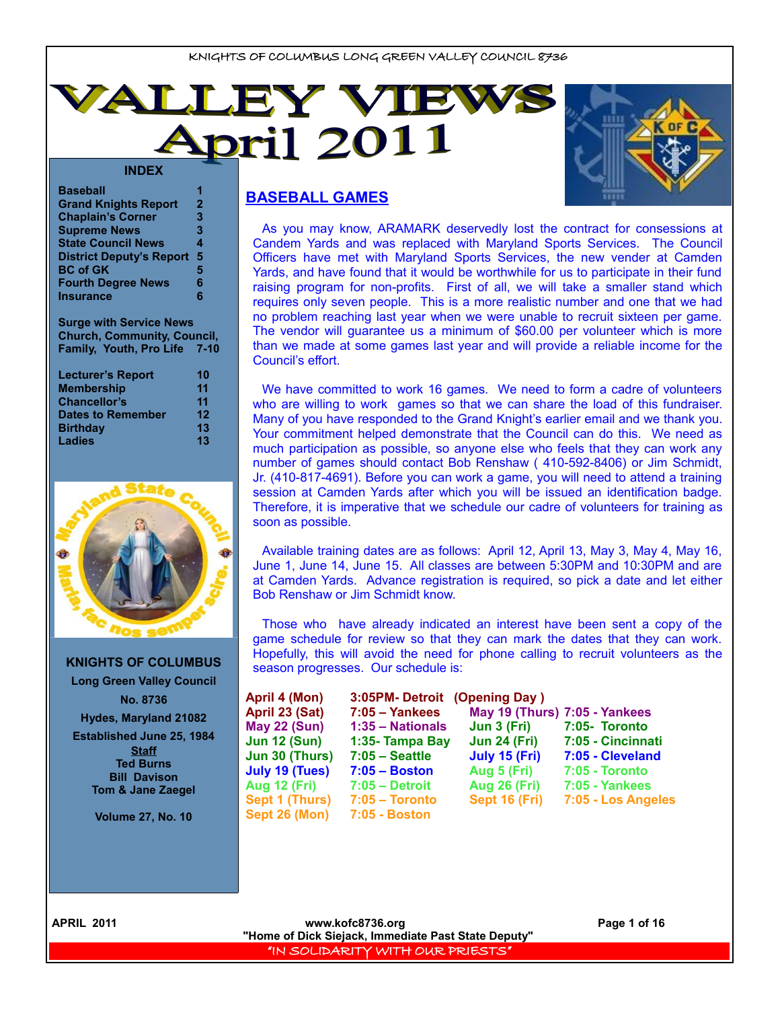



| <b>Baseball</b>                 |              |
|---------------------------------|--------------|
| <b>Grand Knights Report</b>     | $\mathbf{2}$ |
| <b>Chaplain's Corner</b>        | 3            |
| <b>Supreme News</b>             | 3            |
| <b>State Council News</b>       | 4            |
| <b>District Deputy's Report</b> | 5            |
| <b>BC of GK</b>                 | 5            |
| <b>Fourth Degree News</b>       | 6            |
| <b>Insurance</b>                | 6            |
|                                 |              |

**Surge with Service News Church, Community, Council, Family, Youth, Pro Life 7-10**

| <b>Lecturer's Report</b> | 10 |
|--------------------------|----|
| <b>Membership</b>        | 11 |
| <b>Chancellor's</b>      | 11 |
| <b>Dates to Remember</b> | 12 |
| <b>Birthday</b>          | 13 |
| <b>Ladies</b>            | 13 |



**KNIGHTS OF COLUMBUS Long Green Valley Council No. 8736 Hydes, Maryland 21082 Established June 25, 1984 Staff Ted Burns Bill Davison Tom & Jane Zaegel**

**Volume 27, No. 10**

# **BASEBALL GAMES**

As you may know, ARAMARK deservedly lost the contract for consessions at Candem Yards and was replaced with Maryland Sports Services. The Council Officers have met with Maryland Sports Services, the new vender at Camden Yards, and have found that it would be worthwhile for us to participate in their fund raising program for non-profits. First of all, we will take a smaller stand which requires only seven people. This is a more realistic number and one that we had no problem reaching last year when we were unable to recruit sixteen per game. The vendor will guarantee us a minimum of \$60.00 per volunteer which is more than we made at some games last year and will provide a reliable income for the Council's effort.

We have committed to work 16 games. We need to form a cadre of volunteers who are willing to work games so that we can share the load of this fundraiser. Many of you have responded to the Grand Knight's earlier email and we thank you. Your commitment helped demonstrate that the Council can do this. We need as much participation as possible, so anyone else who feels that they can work any number of games should contact Bob Renshaw ( 410-592-8406) or Jim Schmidt, Jr. (410-817-4691). Before you can work a game, you will need to attend a training session at Camden Yards after which you will be issued an identification badge. Therefore, it is imperative that we schedule our cadre of volunteers for training as soon as possible.

Available training dates are as follows: April 12, April 13, May 3, May 4, May 16, June 1, June 14, June 15. All classes are between 5:30PM and 10:30PM and are at Camden Yards. Advance registration is required, so pick a date and let either Bob Renshaw or Jim Schmidt know.

Those who have already indicated an interest have been sent a copy of the game schedule for review so that they can mark the dates that they can work. Hopefully, this will avoid the need for phone calling to recruit volunteers as the season progresses. Our schedule is:

| April 4 (Mon)         | 3:05PM-Detroit          | (Opening Day)                 |                       |
|-----------------------|-------------------------|-------------------------------|-----------------------|
| April 23 (Sat)        | $7:05 - \text{Yankees}$ | May 19 (Thurs) 7:05 - Yankees |                       |
| <b>May 22 (Sun)</b>   | 1:35 - Nationals        | Jun 3 (Fri)                   | 7:05- Toronto         |
| <b>Jun 12 (Sun)</b>   | 1:35- Tampa Bay         | <b>Jun 24 (Fri)</b>           | 7:05 - Cincinnati     |
| Jun 30 (Thurs)        | $7:05 - Seattle$        | July 15 (Fri)                 | 7:05 - Cleveland      |
| <b>July 19 (Tues)</b> | $7:05 - Boston$         | Aug 5 (Fri)                   | 7:05 - Toronto        |
| <b>Aug 12 (Fri)</b>   | $7:05 -$ Detroit        | <b>Aug 26 (Fri)</b>           | <b>7:05 - Yankees</b> |
| Sept 1 (Thurs)        | $7:05 - Toronto$        | Sept 16 (Fri)                 | 7:05 - Los Angeles    |
| Sept 26 (Mon)         | <b>7:05 - Boston</b>    |                               |                       |
|                       |                         |                               |                       |
|                       |                         |                               |                       |

**APRIL 2011 WWW.kofc8736.org Page 1 of 16 Page 1 of 16 "Home of Dick Siejack, Immediate Past State Deputy"**  "IN SOLIDARITY WITH OUR PRIESTS"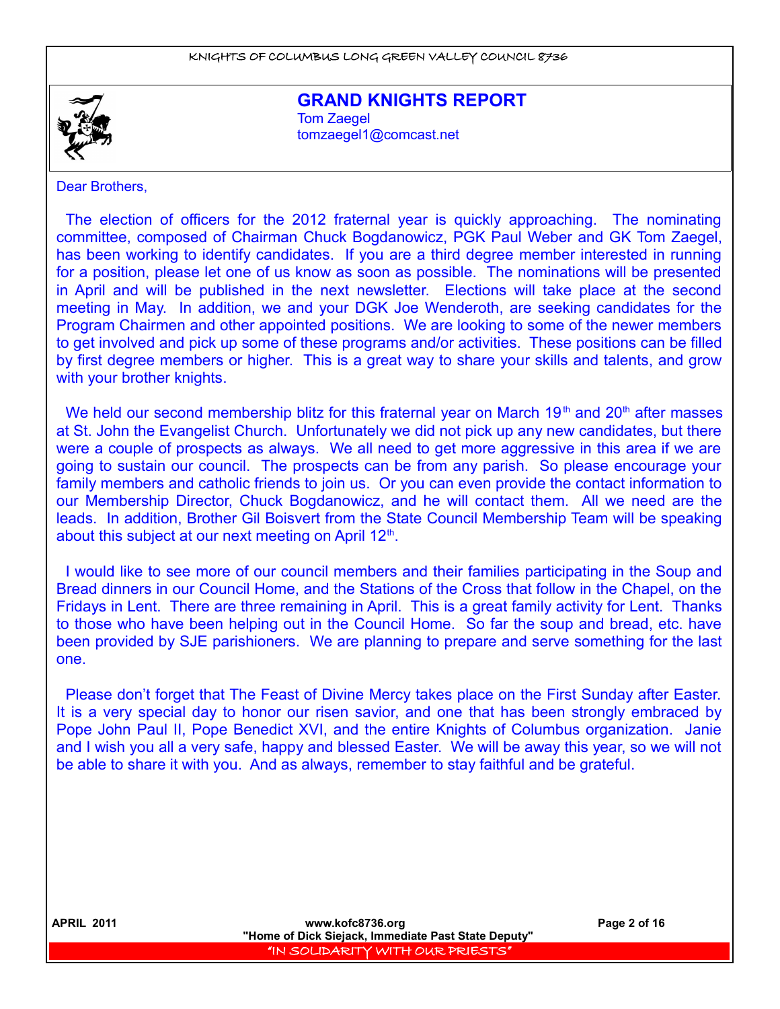

**GRAND KNIGHTS REPORT Tom Zaegel** [tomzaegel1@comcast.net](mailto:tomzaegel1@comcast.net)

Dear Brothers,

The election of officers for the 2012 fraternal year is quickly approaching. The nominating committee, composed of Chairman Chuck Bogdanowicz, PGK Paul Weber and GK Tom Zaegel, has been working to identify candidates. If you are a third degree member interested in running for a position, please let one of us know as soon as possible. The nominations will be presented in April and will be published in the next newsletter. Elections will take place at the second meeting in May. In addition, we and your DGK Joe Wenderoth, are seeking candidates for the Program Chairmen and other appointed positions. We are looking to some of the newer members to get involved and pick up some of these programs and/or activities. These positions can be filled by first degree members or higher. This is a great way to share your skills and talents, and grow with your brother knights.

We held our second membership blitz for this fraternal year on March  $19<sup>th</sup>$  and  $20<sup>th</sup>$  after masses at St. John the Evangelist Church. Unfortunately we did not pick up any new candidates, but there were a couple of prospects as always. We all need to get more aggressive in this area if we are going to sustain our council. The prospects can be from any parish. So please encourage your family members and catholic friends to join us. Or you can even provide the contact information to our Membership Director, Chuck Bogdanowicz, and he will contact them. All we need are the leads. In addition, Brother Gil Boisvert from the State Council Membership Team will be speaking about this subject at our next meeting on April 12<sup>th</sup>.

I would like to see more of our council members and their families participating in the Soup and Bread dinners in our Council Home, and the Stations of the Cross that follow in the Chapel, on the Fridays in Lent. There are three remaining in April. This is a great family activity for Lent. Thanks to those who have been helping out in the Council Home. So far the soup and bread, etc. have been provided by SJE parishioners. We are planning to prepare and serve something for the last one.

Please don't forget that The Feast of Divine Mercy takes place on the First Sunday after Easter. It is a very special day to honor our risen savior, and one that has been strongly embraced by Pope John Paul II, Pope Benedict XVI, and the entire Knights of Columbus organization. Janie and I wish you all a very safe, happy and blessed Easter. We will be away this year, so we will not be able to share it with you. And as always, remember to stay faithful and be grateful.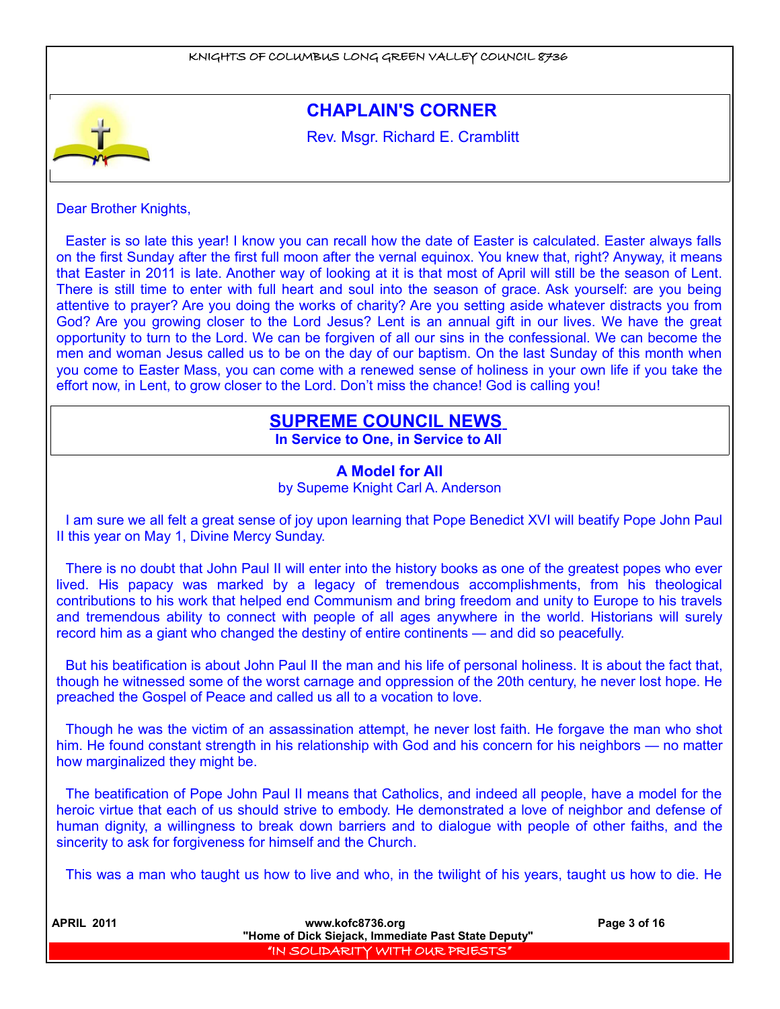

Dear Brother Knights,

Easter is so late this year! I know you can recall how the date of Easter is calculated. Easter always falls on the first Sunday after the first full moon after the vernal equinox. You knew that, right? Anyway, it means that Easter in 2011 is late. Another way of looking at it is that most of April will still be the season of Lent. There is still time to enter with full heart and soul into the season of grace. Ask yourself: are you being attentive to prayer? Are you doing the works of charity? Are you setting aside whatever distracts you from God? Are you growing closer to the Lord Jesus? Lent is an annual gift in our lives. We have the great opportunity to turn to the Lord. We can be forgiven of all our sins in the confessional. We can become the men and woman Jesus called us to be on the day of our baptism. On the last Sunday of this month when you come to Easter Mass, you can come with a renewed sense of holiness in your own life if you take the effort now, in Lent, to grow closer to the Lord. Don't miss the chance! God is calling you!

# **SUPREME COUNCIL NEWS**

**In Service to One, in Service to All** 

# **A Model for All** by Supeme Knight Carl A. Anderson

I am sure we all felt a great sense of joy upon learning that Pope Benedict XVI will beatify Pope John Paul II this year on May 1, Divine Mercy Sunday.

There is no doubt that John Paul II will enter into the history books as one of the greatest popes who ever lived. His papacy was marked by a legacy of tremendous accomplishments, from his theological contributions to his work that helped end Communism and bring freedom and unity to Europe to his travels and tremendous ability to connect with people of all ages anywhere in the world. Historians will surely record him as a giant who changed the destiny of entire continents — and did so peacefully.

But his beatification is about John Paul II the man and his life of personal holiness. It is about the fact that, though he witnessed some of the worst carnage and oppression of the 20th century, he never lost hope. He preached the Gospel of Peace and called us all to a vocation to love.

Though he was the victim of an assassination attempt, he never lost faith. He forgave the man who shot him. He found constant strength in his relationship with God and his concern for his neighbors — no matter how marginalized they might be.

The beatification of Pope John Paul II means that Catholics, and indeed all people, have a model for the heroic virtue that each of us should strive to embody. He demonstrated a love of neighbor and defense of human dignity, a willingness to break down barriers and to dialogue with people of other faiths, and the sincerity to ask for forgiveness for himself and the Church.

This was a man who taught us how to live and who, in the twilight of his years, taught us how to die. He

| <b>APRIL 2011</b> | www.kofc8736.org                                    | Page 3 of 16 |
|-------------------|-----------------------------------------------------|--------------|
|                   | "Home of Dick Siejack, Immediate Past State Deputy" |              |
|                   | I "IN SOLIDARITY WITH OUR PRIESTS" I                |              |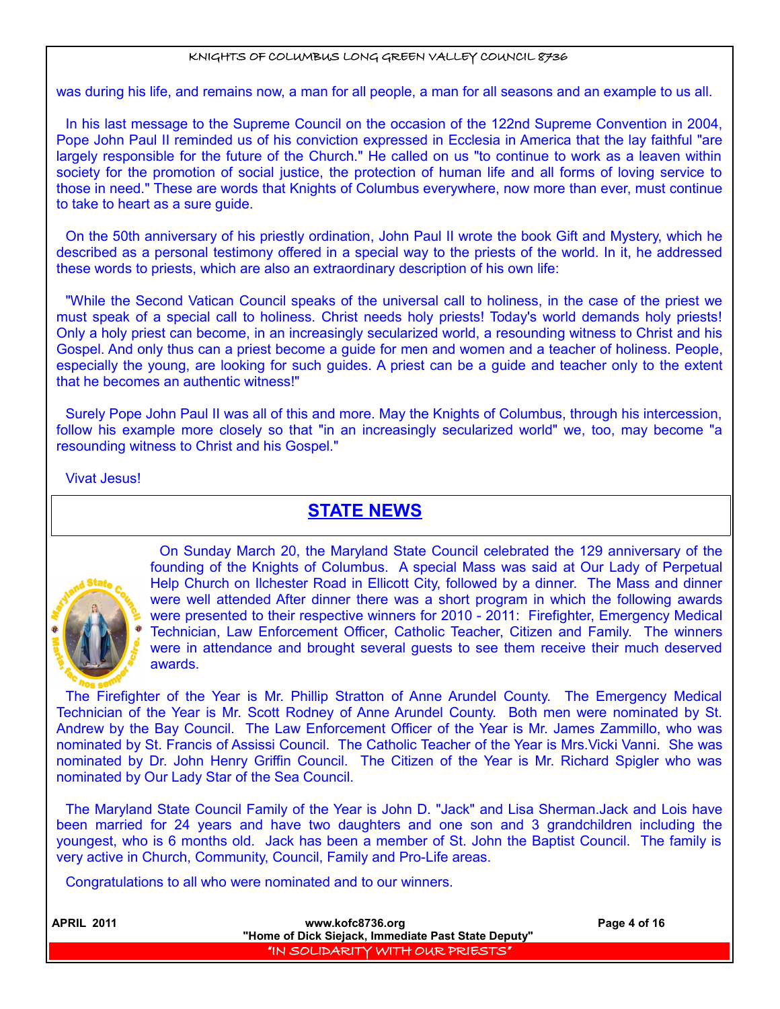was during his life, and remains now, a man for all people, a man for all seasons and an example to us all.

In his last message to the Supreme Council on the occasion of the 122nd Supreme Convention in 2004, Pope John Paul II reminded us of his conviction expressed in Ecclesia in America that the lay faithful "are largely responsible for the future of the Church." He called on us "to continue to work as a leaven within society for the promotion of social justice, the protection of human life and all forms of loving service to those in need." These are words that Knights of Columbus everywhere, now more than ever, must continue to take to heart as a sure guide.

On the 50th anniversary of his priestly ordination, John Paul II wrote the book Gift and Mystery, which he described as a personal testimony offered in a special way to the priests of the world. In it, he addressed these words to priests, which are also an extraordinary description of his own life:

"While the Second Vatican Council speaks of the universal call to holiness, in the case of the priest we must speak of a special call to holiness. Christ needs holy priests! Today's world demands holy priests! Only a holy priest can become, in an increasingly secularized world, a resounding witness to Christ and his Gospel. And only thus can a priest become a guide for men and women and a teacher of holiness. People, especially the young, are looking for such guides. A priest can be a guide and teacher only to the extent that he becomes an authentic witness!"

Surely Pope John Paul II was all of this and more. May the Knights of Columbus, through his intercession, follow his example more closely so that "in an increasingly secularized world" we, too, may become "a resounding witness to Christ and his Gospel."

# Vivat Jesus!

# **STATE NEWS**



On Sunday March 20, the Maryland State Council celebrated the 129 anniversary of the founding of the Knights of Columbus. A special Mass was said at Our Lady of Perpetual Help Church on Ilchester Road in Ellicott City, followed by a dinner. The Mass and dinner were well attended After dinner there was a short program in which the following awards were presented to their respective winners for 2010 - 2011: Firefighter, Emergency Medical Technician, Law Enforcement Officer, Catholic Teacher, Citizen and Family. The winners were in attendance and brought several guests to see them receive their much deserved awards.

The Firefighter of the Year is Mr. Phillip Stratton of Anne Arundel County. The Emergency Medical Technician of the Year is Mr. Scott Rodney of Anne Arundel County. Both men were nominated by St. Andrew by the Bay Council. The Law Enforcement Officer of the Year is Mr. James Zammillo, who was nominated by St. Francis of Assissi Council. The Catholic Teacher of the Year is Mrs.Vicki Vanni. She was nominated by Dr. John Henry Griffin Council. The Citizen of the Year is Mr. Richard Spigler who was nominated by Our Lady Star of the Sea Council.

The Maryland State Council Family of the Year is John D. "Jack" and Lisa Sherman.Jack and Lois have been married for 24 years and have two daughters and one son and 3 grandchildren including the youngest, who is 6 months old. Jack has been a member of St. John the Baptist Council. The family is very active in Church, Community, Council, Family and Pro-Life areas.

Congratulations to all who were nominated and to our winners.

| <b>APRIL 2011</b> | www.kofc8736.org<br>"Home of Dick Siejack, Immediate Past State Deputy" | Page 4 of 16 |
|-------------------|-------------------------------------------------------------------------|--------------|
|                   | I "IN SOLIDARITY WITH OUR PRIESTS" I                                    |              |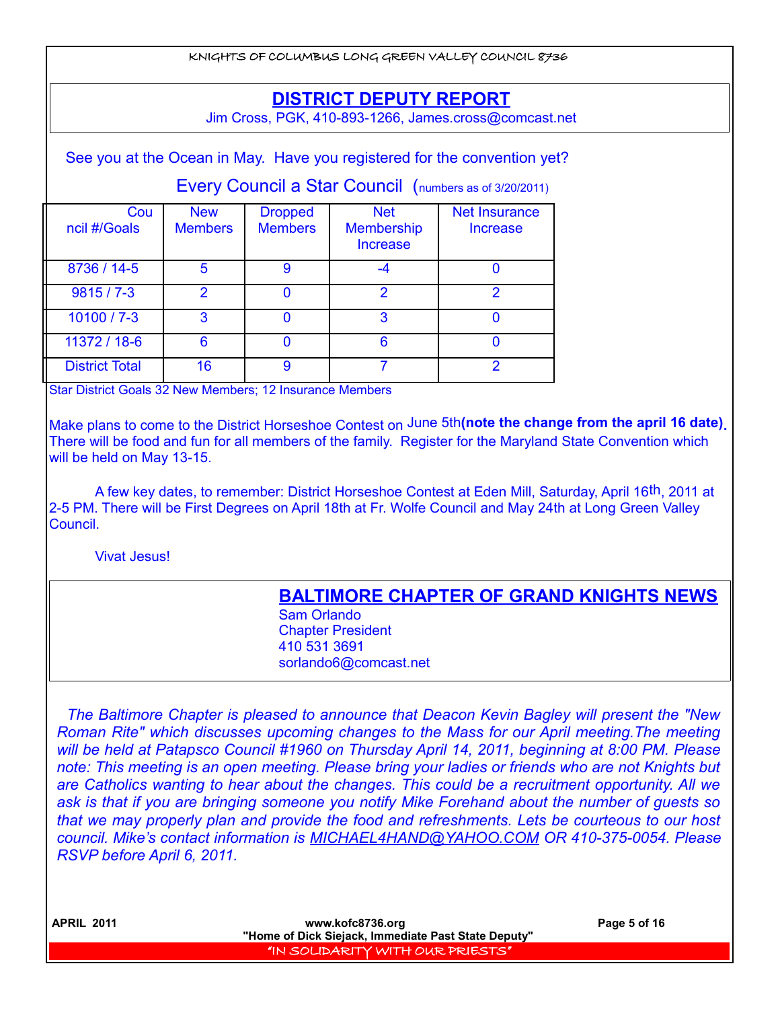KNIGHTS OF COLUMBUS LONG GREEN VALLEY COUNCIL 8736 See you at the Ocean in May. Have you registered for the convention yet? Every Council a Star Council (numbers as of 3/20/2011) **Cou** ncil #/Goals **New Members Dropped Members** Net **Membership** Increase Net Insurance Increase 8736 / 14-5 5 9 4 4 0 9815 / 7-3 2 0 2 2 2  $10100 / 7 - 3$  3 0 3 0 11372 / 18-6 6 6 0 6 0 6 0 District Total | 16 | 9 | 7 | 2 Star District Goals 32 New Members; 12 Insurance Members Make plans to come to the District Horseshoe Contest on June 5th**(note the change from the april 16 date).** There will be food and fun for all members of the family. Register for the Maryland State Convention which will be held on May 13-15. A few key dates, to remember: District Horseshoe Contest at Eden Mill, Saturday, April 16th, 2011 at 2-5 PM. There will be First Degrees on April 18th at Fr. Wolfe Council and May 24th at Long Green Valley Council. Vivat Jesus! **BALTIMORE CHAPTER OF GRAND KNIGHTS NEWS** Sam Orlando Chapter President 410 531 3691 **DISTRICT DEPUTY REPORT** Jim Cross, PGK, 410-893-1266, James.cross@comcast.net

*The Baltimore Chapter is pleased to announce that Deacon Kevin Bagley will present the "New Roman Rite" which discusses upcoming changes to the Mass for our April meeting.The meeting will be held at Patapsco Council #1960 on Thursday April 14, 2011, beginning at 8:00 PM. Please note: This meeting is an open meeting. Please bring your ladies or friends who are not Knights but are Catholics wanting to hear about the changes. This could be a recruitment opportunity. All we ask is that if you are bringing someone you notify Mike Forehand about the number of guests so that we may properly plan and provide the food and refreshments. Lets be courteous to our host council. Mike's contact information is MICHAEL4HAND@YAHOO.COM OR 410-375-0054. Please RSVP before April 6, 2011.*

sorlando6@comcast.net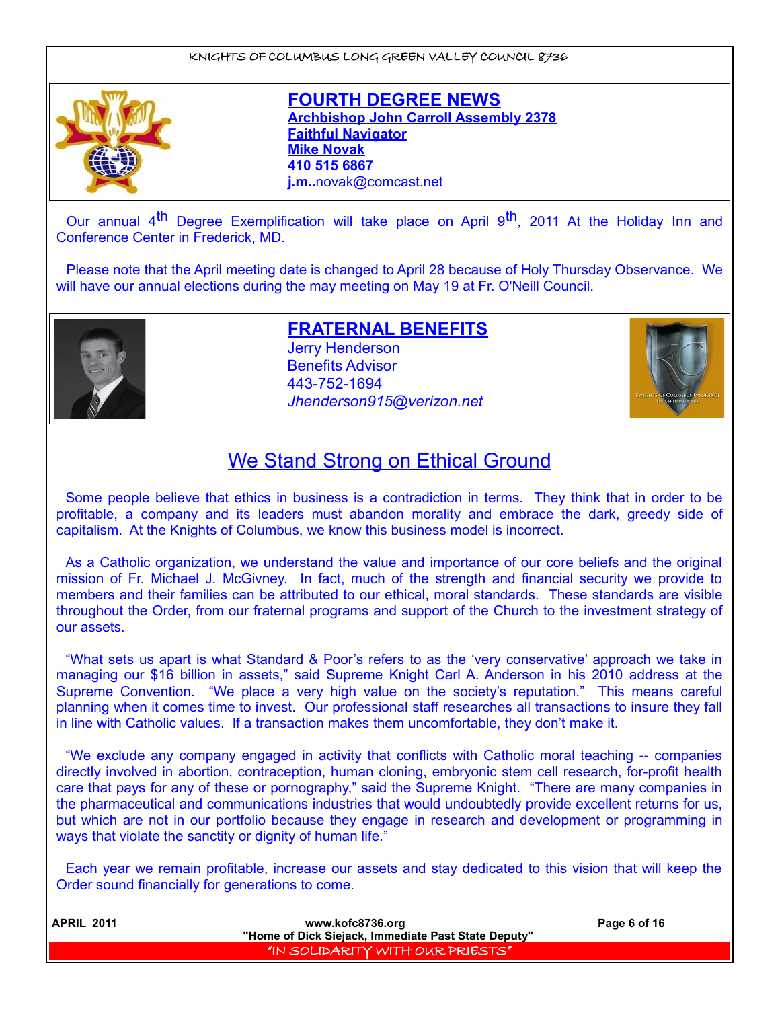

**FOURTH DEGREE NEWS Archbishop John Carroll Assembly 2378 Faithful Navigator Mike Novak 410 515 6867 j.m..** [novak@comcast.net](mailto:novak@comcast.net)

Our annual 4<sup>th</sup> Degree Exemplification will take place on April 9<sup>th</sup>, 2011 At the Holiday Inn and Conference Center in Frederick, MD.

Please note that the April meeting date is changed to April 28 because of Holy Thursday Observance. We will have our annual elections during the may meeting on May 19 at Fr. O'Neill Council.



**FRATERNAL BENEFITS** Jerry Henderson Benefits Advisor 443-752-1694 *[Jhenderson915@verizon.net](mailto:Jhenderson915@verizon.net)*



# We Stand Strong on Ethical Ground

Some people believe that ethics in business is a contradiction in terms. They think that in order to be profitable, a company and its leaders must abandon morality and embrace the dark, greedy side of capitalism. At the Knights of Columbus, we know this business model is incorrect.

As a Catholic organization, we understand the value and importance of our core beliefs and the original mission of Fr. Michael J. McGivney. In fact, much of the strength and financial security we provide to members and their families can be attributed to our ethical, moral standards. These standards are visible throughout the Order, from our fraternal programs and support of the Church to the investment strategy of our assets.

"What sets us apart is what Standard & Poor's refers to as the 'very conservative' approach we take in managing our \$16 billion in assets," said Supreme Knight Carl A. Anderson in his 2010 address at the Supreme Convention. "We place a very high value on the society's reputation." This means careful planning when it comes time to invest. Our professional staff researches all transactions to insure they fall in line with Catholic values. If a transaction makes them uncomfortable, they don't make it.

"We exclude any company engaged in activity that conflicts with Catholic moral teaching -- companies directly involved in abortion, contraception, human cloning, embryonic stem cell research, for-profit health care that pays for any of these or pornography," said the Supreme Knight. "There are many companies in the pharmaceutical and communications industries that would undoubtedly provide excellent returns for us, but which are not in our portfolio because they engage in research and development or programming in ways that violate the sanctity or dignity of human life."

Each year we remain profitable, increase our assets and stay dedicated to this vision that will keep the Order sound financially for generations to come.

| <b>APRIL 2011</b> | www.kofc8736.org                                    | Page 6 of 16 |
|-------------------|-----------------------------------------------------|--------------|
|                   | "Home of Dick Siejack, Immediate Past State Deputy" |              |
|                   | "IN SOLIDARITY WITH OUR PRIESTS"                    |              |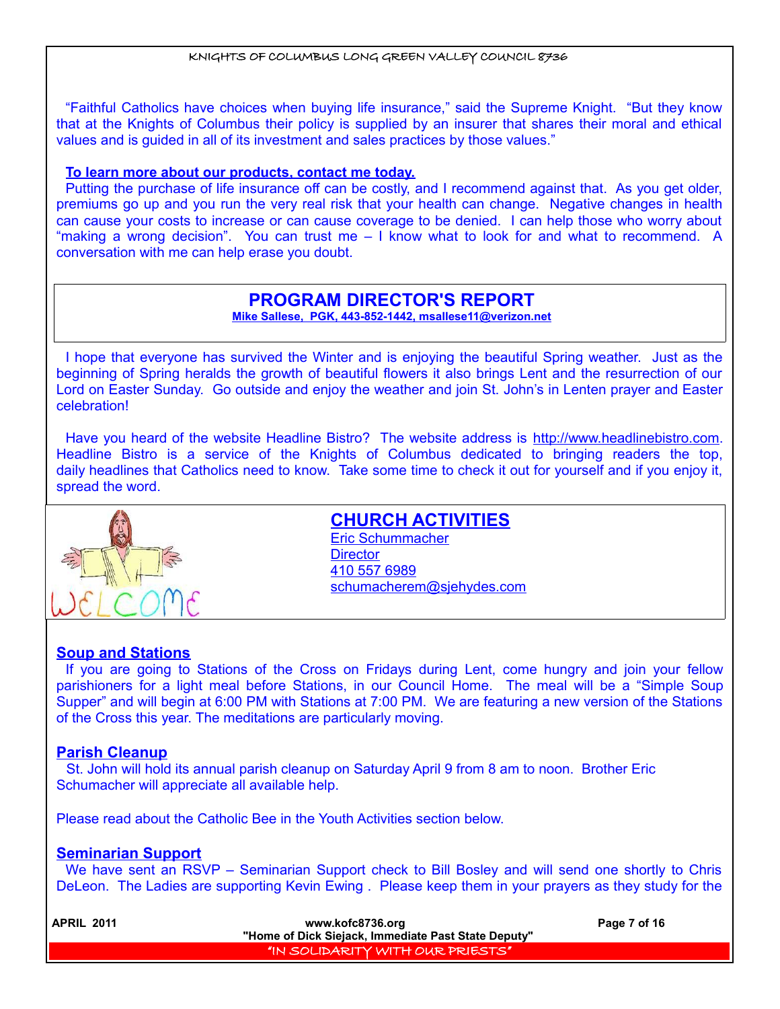"Faithful Catholics have choices when buying life insurance," said the Supreme Knight. "But they know that at the Knights of Columbus their policy is supplied by an insurer that shares their moral and ethical values and is guided in all of its investment and sales practices by those values."

## **To learn more about our products, contact me today.**

Putting the purchase of life insurance off can be costly, and I recommend against that. As you get older, premiums go up and you run the very real risk that your health can change. Negative changes in health can cause your costs to increase or can cause coverage to be denied. I can help those who worry about "making a wrong decision". You can trust me – I know what to look for and what to recommend. A conversation with me can help erase you doubt.

# **PROGRAM DIRECTOR'S REPORT**

**Mike Sallese, PGK, 443-852-1442, msallese11@verizon.net**

I hope that everyone has survived the Winter and is enjoying the beautiful Spring weather. Just as the beginning of Spring heralds the growth of beautiful flowers it also brings Lent and the resurrection of our Lord on Easter Sunday. Go outside and enjoy the weather and join St. John's in Lenten prayer and Easter celebration!

Have you heard of the website Headline Bistro? The website address is [http://www.headlinebistro.com.](http://www.headlinebistro.com/) Headline Bistro is a service of the Knights of Columbus dedicated to bringing readers the top, daily headlines that Catholics need to know. Take some time to check it out for yourself and if you enjoy it, spread the word.



# **CHURCH ACTIVITIES**

Eric Schummacher **Director** 410 557 6989 schumacherem@sjehydes.com

# **Soup and Stations**

If you are going to Stations of the Cross on Fridays during Lent, come hungry and join your fellow parishioners for a light meal before Stations, in our Council Home. The meal will be a "Simple Soup Supper" and will begin at 6:00 PM with Stations at 7:00 PM. We are featuring a new version of the Stations of the Cross this year. The meditations are particularly moving.

# **Parish Cleanup**

St. John will hold its annual parish cleanup on Saturday April 9 from 8 am to noon. Brother Eric Schumacher will appreciate all available help.

Please read about the Catholic Bee in the Youth Activities section below.

# **Seminarian Support**

We have sent an RSVP – Seminarian Support check to Bill Bosley and will send one shortly to Chris DeLeon. The Ladies are supporting Kevin Ewing . Please keep them in your prayers as they study for the

| <b>APRIL 2011</b> | www.kofc8736.org                                    | Page 7 of 16 |
|-------------------|-----------------------------------------------------|--------------|
|                   | "Home of Dick Siejack, Immediate Past State Deputy" |              |
|                   | I "IN SOLIDARITY WITH OUR PRIESTS"!                 |              |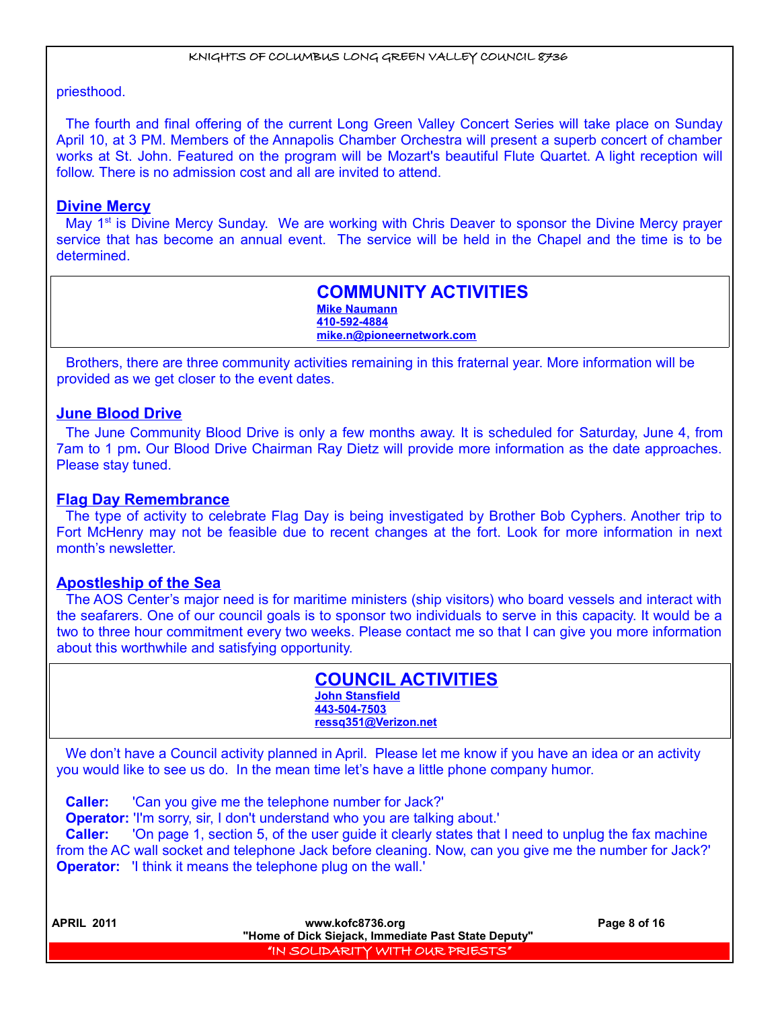# priesthood.

The fourth and final offering of the current Long Green Valley Concert Series will take place on Sunday April 10, at 3 PM. Members of the Annapolis Chamber Orchestra will present a superb concert of chamber works at St. John. Featured on the program will be Mozart's beautiful Flute Quartet. A light reception will follow. There is no admission cost and all are invited to attend.

# **Divine Mercy**

May 1<sup>st</sup> is Divine Mercy Sunday. We are working with Chris Deaver to sponsor the Divine Mercy prayer service that has become an annual event. The service will be held in the Chapel and the time is to be determined.

> **COMMUNITY ACTIVITIES Mike Naumann 410-592-4884 mike.n@pioneernetwork.com**

Brothers, there are three community activities remaining in this fraternal year. More information will be provided as we get closer to the event dates.

# **June Blood Drive**

The June Community Blood Drive is only a few months away. It is scheduled for Saturday, June 4, from 7am to 1 pm**.** Our Blood Drive Chairman Ray Dietz will provide more information as the date approaches. Please stay tuned.

# **Flag Day Remembrance**

The type of activity to celebrate Flag Day is being investigated by Brother Bob Cyphers. Another trip to Fort McHenry may not be feasible due to recent changes at the fort. Look for more information in next month's newsletter.

# **Apostleship of the Sea**

The AOS Center's major need is for maritime ministers (ship visitors) who board vessels and interact with the seafarers. One of our council goals is to sponsor two individuals to serve in this capacity. It would be a two to three hour commitment every two weeks. Please contact me so that I can give you more information about this worthwhile and satisfying opportunity.

| <b>COUNCIL ACTIVITIES</b> |
|---------------------------|
| <b>John Stansfield</b>    |
| 443-504-7503              |
| ressg351@Verizon.net      |

We don't have a Council activity planned in April. Please let me know if you have an idea or an activity you would like to see us do. In the mean time let's have a little phone company humor.

**Caller:** 'Can you give me the telephone number for Jack?'

**Operator:** 'I'm sorry, sir, I don't understand who you are talking about.'

**Caller:** 'On page 1, section 5, of the user guide it clearly states that I need to unplug the fax machine from the AC wall socket and telephone Jack before cleaning. Now, can you give me the number for Jack?' **Operator:** 'I think it means the telephone plug on the wall.'

| <b>APRIL 2011</b> | www.kofc8736.org                                    | Page 8 of 16 |
|-------------------|-----------------------------------------------------|--------------|
|                   | "Home of Dick Siejack, Immediate Past State Deputy" |              |
|                   | "IN SOLIDARITY WITH OUR PRIESTS"                    |              |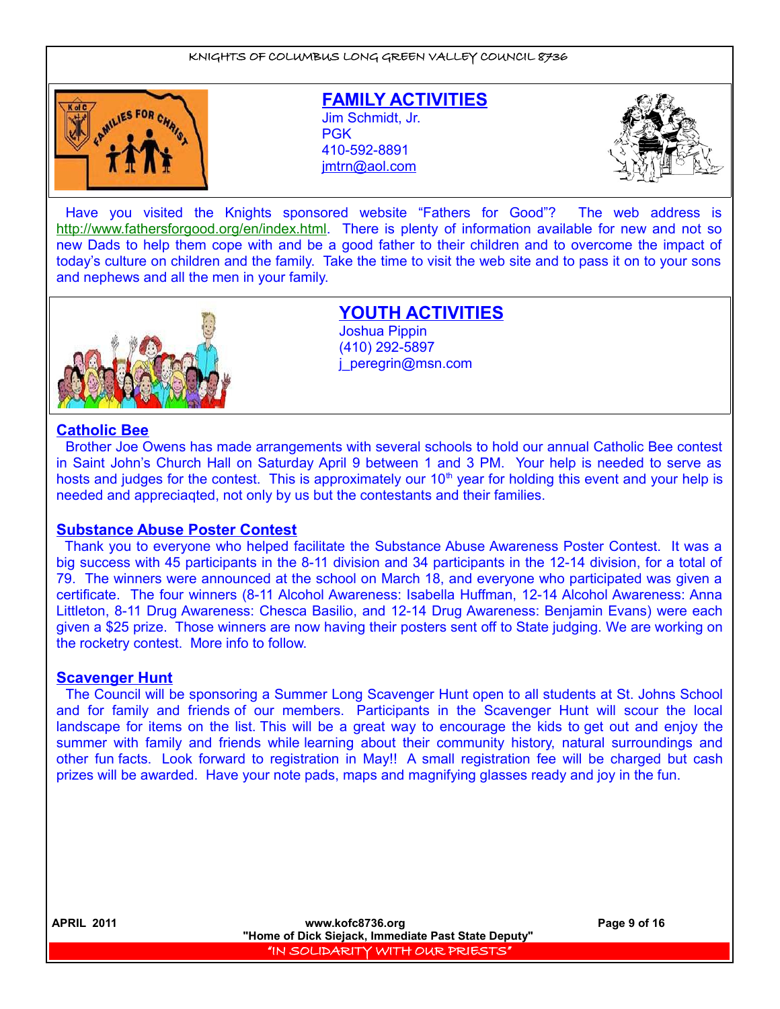

**FAMILY ACTIVITIES** Jim Schmidt, Jr. **PGK** 410-592-8891 jmtrn@aol.com



Have you visited the Knights sponsored website "Fathers for Good"? The web address is [http://www.fathersforgood.org/en/index.html.](http://www.fathersforgood.org/en/index.html) There is plenty of information available for new and not so new Dads to help them cope with and be a good father to their children and to overcome the impact of today's culture on children and the family. Take the time to visit the web site and to pass it on to your sons and nephews and all the men in your family.



**YOUTH ACTIVITIES** Joshua Pippin (410) 292-5897 j\_peregrin@msn.com

#### **Catholic Bee**

Brother Joe Owens has made arrangements with several schools to hold our annual Catholic Bee contest in Saint John's Church Hall on Saturday April 9 between 1 and 3 PM. Your help is needed to serve as hosts and judges for the contest. This is approximately our  $10<sup>th</sup>$  year for holding this event and your help is needed and appreciaqted, not only by us but the contestants and their families.

#### **Substance Abuse Poster Contest**

Thank you to everyone who helped facilitate the Substance Abuse Awareness Poster Contest. It was a big success with 45 participants in the 8-11 division and 34 participants in the 12-14 division, for a total of 79. The winners were announced at the school on March 18, and everyone who participated was given a certificate. The four winners (8-11 Alcohol Awareness: Isabella Huffman, 12-14 Alcohol Awareness: Anna Littleton, 8-11 Drug Awareness: Chesca Basilio, and 12-14 Drug Awareness: Benjamin Evans) were each given a \$25 prize. Those winners are now having their posters sent off to State judging. We are working on the rocketry contest. More info to follow.

#### **Scavenger Hunt**

The Council will be sponsoring a Summer Long Scavenger Hunt open to all students at St. Johns School and for family and friends of our members. Participants in the Scavenger Hunt will scour the local landscape for items on the list. This will be a great way to encourage the kids to get out and enjoy the summer with family and friends while learning about their community history, natural surroundings and other fun facts. Look forward to registration in May!! A small registration fee will be charged but cash prizes will be awarded. Have your note pads, maps and magnifying glasses ready and joy in the fun.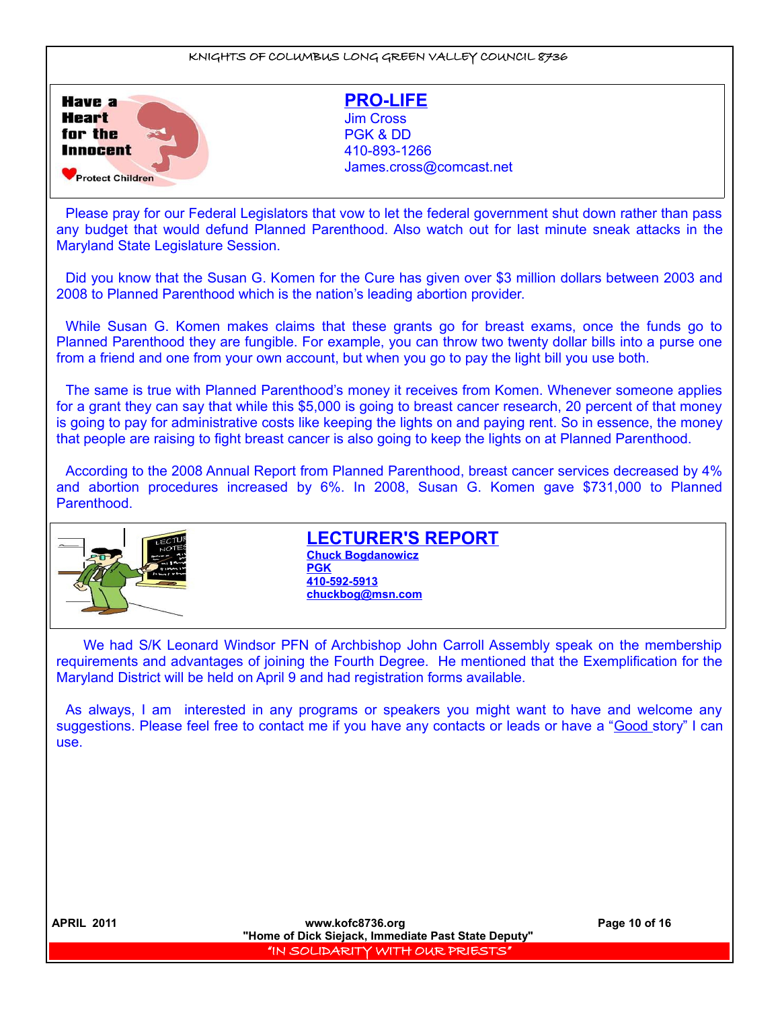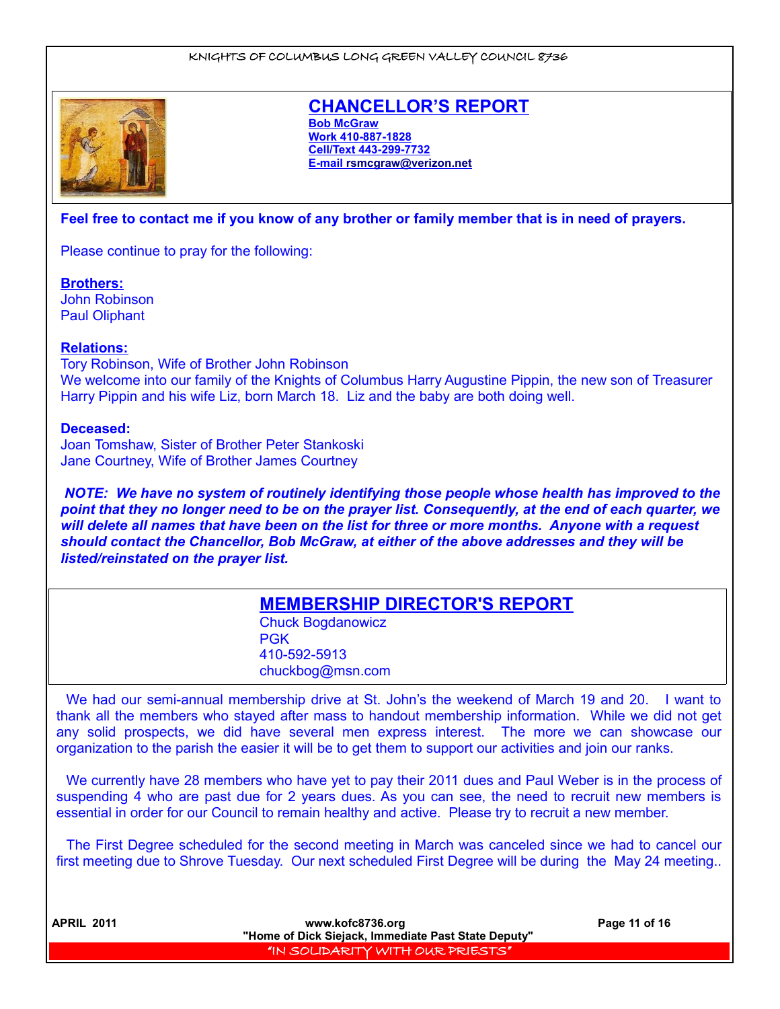

# **CHANCELLOR'S REPORT**

**Bob McGraw Work 410-887-1828 Cell/Text 443-299-7732 E-mail [rsmcgraw@verizon.net](mailto:rsmcgraw@verizon.net)**

## **Feel free to contact me if you know of any brother or family member that is in need of prayers.**

Please continue to pray for the following:

**Brothers:**

John Robinson Paul Oliphant

#### **Relations:**

Tory Robinson, Wife of Brother John Robinson We welcome into our family of the Knights of Columbus Harry Augustine Pippin, the new son of Treasurer Harry Pippin and his wife Liz, born March 18. Liz and the baby are both doing well.

#### **Deceased:**

Joan Tomshaw, Sister of Brother Peter Stankoski Jane Courtney, Wife of Brother James Courtney

*NOTE: We have no system of routinely identifying those people whose health has improved to the point that they no longer need to be on the prayer list. Consequently, at the end of each quarter, we will delete all names that have been on the list for three or more months. Anyone with a request should contact the Chancellor, Bob McGraw, at either of the above addresses and they will be listed/reinstated on the prayer list.* 

# **MEMBERSHIP DIRECTOR'S REPORT**

Chuck Bogdanowicz PGK 410-592-5913 chuckbog@msn.com

We had our semi-annual membership drive at St. John's the weekend of March 19 and 20. I want to thank all the members who stayed after mass to handout membership information. While we did not get any solid prospects, we did have several men express interest. The more we can showcase our organization to the parish the easier it will be to get them to support our activities and join our ranks.

We currently have 28 members who have yet to pay their 2011 dues and Paul Weber is in the process of suspending 4 who are past due for 2 years dues. As you can see, the need to recruit new members is essential in order for our Council to remain healthy and active. Please try to recruit a new member.

The First Degree scheduled for the second meeting in March was canceled since we had to cancel our first meeting due to Shrove Tuesday. Our next scheduled First Degree will be during the May 24 meeting..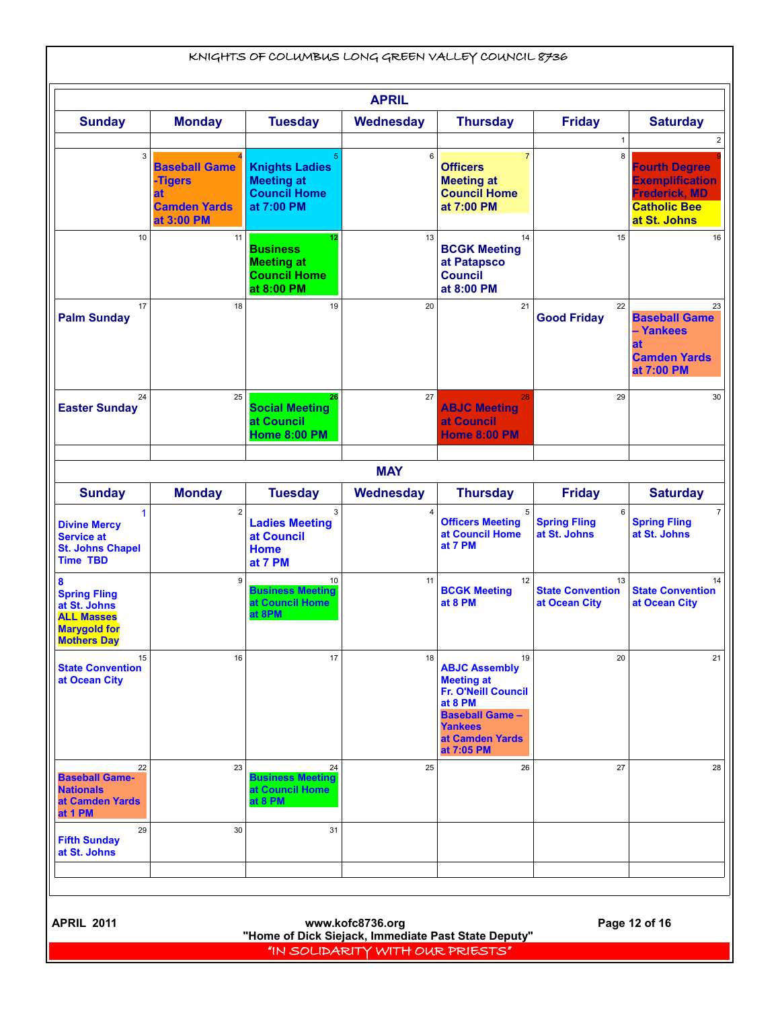| <b>Sunday</b>                                                                                                                                     | <b>Monday</b>                                                              | <b>Tuesday</b>                                                                  | <b>APRIL</b>     |                                                                                                                                                                       |                                                |                                                                                                               |  |  |
|---------------------------------------------------------------------------------------------------------------------------------------------------|----------------------------------------------------------------------------|---------------------------------------------------------------------------------|------------------|-----------------------------------------------------------------------------------------------------------------------------------------------------------------------|------------------------------------------------|---------------------------------------------------------------------------------------------------------------|--|--|
|                                                                                                                                                   |                                                                            |                                                                                 |                  |                                                                                                                                                                       |                                                |                                                                                                               |  |  |
|                                                                                                                                                   |                                                                            |                                                                                 | <b>Wednesday</b> | <b>Thursday</b>                                                                                                                                                       | <b>Friday</b>                                  | <b>Saturday</b>                                                                                               |  |  |
| 3                                                                                                                                                 | <b>Baseball Game</b><br>-Tigers<br>at<br><b>Camden Yards</b><br>at 3:00 PM | <b>Knights Ladies</b><br><b>Meeting at</b><br><b>Council Home</b><br>at 7:00 PM | 6                | $\overline{7}$<br><b>Officers</b><br><b>Meeting at</b><br><b>Council Home</b><br>at 7:00 PM                                                                           | 8                                              | <b>Fourth Degree</b><br><b>Exemplification</b><br><b>Frederick, MD</b><br><b>Catholic Bee</b><br>at St. Johns |  |  |
| 10                                                                                                                                                | 11                                                                         | 12<br><b>Business</b><br><b>Meeting at</b><br><b>Council Home</b><br>at 8:00 PM | 13               | 14<br><b>BCGK Meeting</b><br>at Patapsco<br><b>Council</b><br>at 8:00 PM                                                                                              | 15                                             | 16                                                                                                            |  |  |
| 17<br><b>Palm Sunday</b>                                                                                                                          | 18                                                                         | 19                                                                              | 20               | 21                                                                                                                                                                    | 22<br><b>Good Friday</b>                       | 23<br><b>Baseball Game</b><br>- Yankees<br>at<br><b>Camden Yards</b><br>at 7:00 PM                            |  |  |
| 24<br><b>Easter Sunday</b>                                                                                                                        | 25                                                                         | 26<br><b>Social Meeting</b><br>at Council<br><b>Home 8:00 PM</b>                | 27               | 28<br><b>ABJC Meeting</b><br>at Council<br><b>Home 8:00 PM</b>                                                                                                        | 29                                             | 30                                                                                                            |  |  |
|                                                                                                                                                   |                                                                            |                                                                                 | <b>MAY</b>       |                                                                                                                                                                       |                                                |                                                                                                               |  |  |
| <b>Sunday</b>                                                                                                                                     | <b>Monday</b>                                                              | <b>Tuesday</b>                                                                  | Wednesday        | <b>Thursday</b>                                                                                                                                                       | <b>Friday</b>                                  | <b>Saturday</b>                                                                                               |  |  |
| $\mathbf{1}$<br><b>Divine Mercy</b><br><b>Service at</b><br><b>St. Johns Chapel</b><br><b>Time TBD</b>                                            | $\overline{2}$                                                             | 3<br><b>Ladies Meeting</b><br>at Council<br><b>Home</b><br>at 7 PM              |                  | 5<br><b>Officers Meeting</b><br>at Council Home<br>at 7 PM                                                                                                            | <b>Spring Fling</b><br>at St. Johns            | $\overline{7}$<br><b>Spring Fling</b><br>at St. Johns                                                         |  |  |
| 8<br><b>Spring Fling</b><br>at St. Johns<br><b>ALL Masses</b><br><b>Marygold for</b><br><b>Mothers Day</b>                                        | $\boldsymbol{9}$                                                           | 10<br><b>Business Meeting</b><br>at Council Home<br>at 8PM                      | 11               | 12<br><b>BCGK Meeting</b><br>at 8 PM                                                                                                                                  | 13<br><b>State Convention</b><br>at Ocean City | 14<br><b>State Convention</b><br>at Ocean City                                                                |  |  |
| 15<br><b>State Convention</b><br>at Ocean City                                                                                                    | 16                                                                         | 17                                                                              | 18               | 19<br><b>ABJC Assembly</b><br><b>Meeting at</b><br><b>Fr. O'Neill Council</b><br>at 8 PM<br><b>Baseball Game -</b><br><b>Yankees</b><br>at Camden Yards<br>at 7:05 PM | 20                                             | 21                                                                                                            |  |  |
| 22<br><b>Baseball Game-</b><br><b>Nationals</b><br>at Camden Yards<br>at 1 PM                                                                     | 23                                                                         | 24<br><b>Business Meeting</b><br>at Council Home<br>at 8 PM                     | 25               | 26                                                                                                                                                                    | 27                                             | 28                                                                                                            |  |  |
| 29<br><b>Fifth Sunday</b><br>at St. Johns                                                                                                         | 30                                                                         | 31                                                                              |                  |                                                                                                                                                                       |                                                |                                                                                                               |  |  |
| <b>APRIL 2011</b><br>Page 12 of 16<br>www.kofc8736.org<br>"Home of Dick Siejack, Immediate Past State Deputy"<br>"IN SOLIDARITY WITH OUR PRIESTS" |                                                                            |                                                                                 |                  |                                                                                                                                                                       |                                                |                                                                                                               |  |  |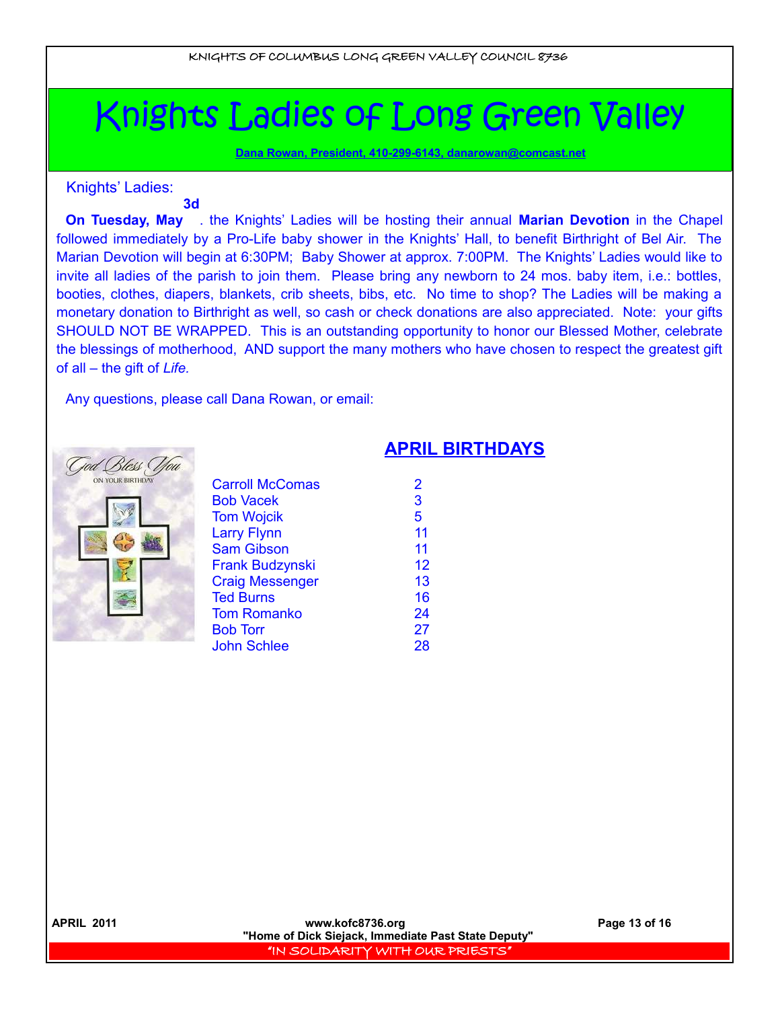# Knights Ladies of Long Green Valley

 **Dana Rowan, President, 410-299-6143, [danarowan@comcast.net](mailto:danarowan@comcast.net)**

Knights' Ladies:

# **3d**

**On Tuesday, May** . the Knights' Ladies will be hosting their annual **Marian Devotion** in the Chapel followed immediately by a Pro-Life baby shower in the Knights' Hall, to benefit Birthright of Bel Air. The Marian Devotion will begin at 6:30PM; Baby Shower at approx. 7:00PM. The Knights' Ladies would like to invite all ladies of the parish to join them. Please bring any newborn to 24 mos. baby item, i.e.: bottles, booties, clothes, diapers, blankets, crib sheets, bibs, etc. No time to shop? The Ladies will be making a monetary donation to Birthright as well, so cash or check donations are also appreciated. Note: your gifts SHOULD NOT BE WRAPPED. This is an outstanding opportunity to honor our Blessed Mother, celebrate the blessings of motherhood, AND support the many mothers who have chosen to respect the greatest gift of all – the gift of *Life.*

**APRIL BIRTHDAYS**

Any questions, please call Dana Rowan, or email:



| 2  |
|----|
| 3  |
| 5  |
| 11 |
| 11 |
| 12 |
| 13 |
| 16 |
| 24 |
| 27 |
| 28 |
|    |